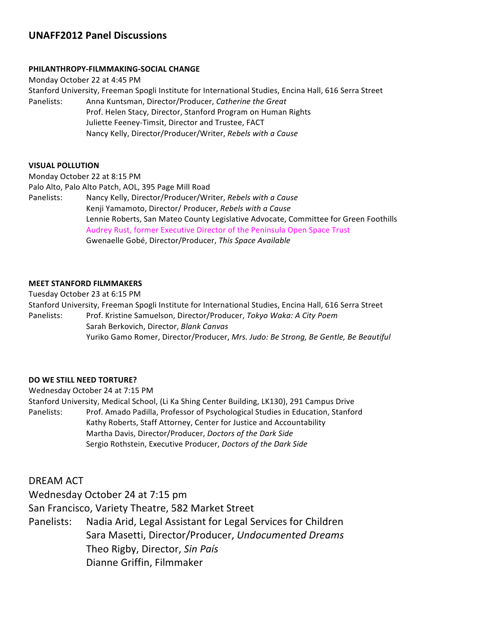# **UNAFF2012 Panel Discussions**

### **PHILANTHROPY-FILMMAKING-SOCIAL CHANGE**

Monday October 22 at 4:45 PM Stanford University, Freeman Spogli Institute for International Studies, Encina Hall, 616 Serra Street Panelists: Anna Kuntsman, Director/Producer, *Catherine the Great* Prof. Helen Stacy, Director, Stanford Program on Human Rights Juliette Feeney-Timsit, Director and Trustee, FACT Nancy Kelly, Director/Producer/Writer, Rebels with a Cause

#### **VISUAL(POLLUTION**

Monday October 22 at 8:15 PM Palo Alto, Palo Alto Patch, AOL, 395 Page Mill Road Panelists: Nancy Kelly, Director/Producer/Writer, *Rebels with a Cause* Kenji!Yamamoto,!Director/!Producer,!*Rebels)with)a)Cause* Lennie Roberts, San Mateo County Legislative Advocate, Committee for Green Foothills Audrey Rust, former Executive Director of the Peninsula Open Space Trust Gwenaelle!Gobé,!Director/Producer,!*This)Space)Available*

### **MEET STANFORD FILMMAKERS**

Tuesday October 23 at 6:15 PM Stanford University, Freeman Spogli Institute for International Studies, Encina Hall, 616 Serra Street Panelists: Prof. Kristine Samuelson, Director/Producer, *Tokyo Waka: A City Poem* Sarah!Berkovich,!Director,!*Blank)Canvas)* Yuriko Gamo Romer, Director/Producer, *Mrs. Judo: Be Strong, Be Gentle, Be Beautiful* 

### **DO WE STILL NEED TORTURE?**

Wednesday October 24 at 7:15 PM Stanford University, Medical School, (Li Ka Shing Center Building, LK130), 291 Campus Drive Panelists: Prof. Amado Padilla, Professor of Psychological Studies in Education, Stanford Kathy Roberts, Staff Attorney, Center for Justice and Accountability Martha Davis, Director/Producer, *Doctors of the Dark Side* Sergio Rothstein, Executive Producer, *Doctors of the Dark Side* 

## DREAM ACT

Wednesday October 24 at 7:15 pm

San Francisco, Variety Theatre, 582 Market Street

Panelists: Nadia Arid, Legal Assistant for Legal Services for Children Sara!Masetti,!Director/Producer,!*Undocumented)Dreams* Theo!Rigby,!Director,!*Sin)País* Dianne Griffin, Filmmaker